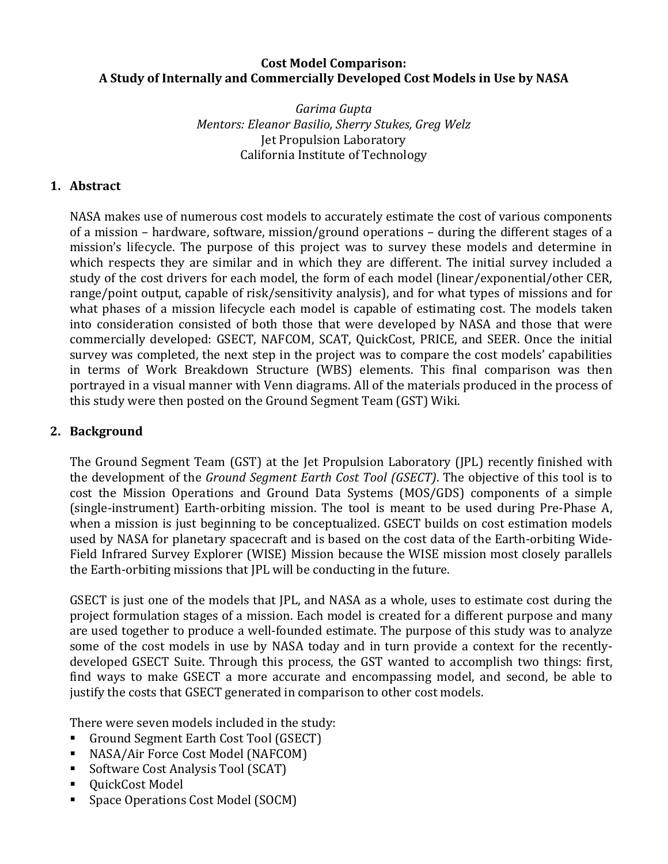### **Cost Model Comparison: A Study of Internally and Commercially Developed Cost Models in Use by NASA**

*Garima Gupta Mentors: Eleanor Basilio, Sherry Stukes, Greg Welz* Jet Propulsion Laboratory California Institute of Technology

# **1. Abstract**

NASA makes use of numerous cost models to accurately estimate the cost of various components of a mission – hardware, software, mission/ground operations – during the different stages of a mission's lifecycle. The purpose of this project was to survey these models and determine in which respects they are similar and in which they are different. The initial survey included a study of the cost drivers for each model, the form of each model (linear/exponential/other CER, range/point output, capable of risk/sensitivity analysis), and for what types of missions and for what phases of a mission lifecycle each model is capable of estimating cost. The models taken into consideration consisted of both those that were developed by NASA and those that were commercially developed: GSECT, NAFCOM, SCAT, QuickCost, PRICE, and SEER. Once the initial survey was completed, the next step in the project was to compare the cost models' capabilities in terms of Work Breakdown Structure (WBS) elements. This final comparison was then portrayed in a visual manner with Venn diagrams. All of the materials produced in the process of this study were then posted on the Ground Segment Team (GST) Wiki.

### **2. Background**

The Ground Segment Team (GST) at the Jet Propulsion Laboratory (JPL) recently finished with the development of the *Ground Segment Earth Cost Tool (GSECT)*. The objective of this tool is to cost the Mission Operations and Ground Data Systems (MOS/GDS) components of a simple (single-instrument) Earth-orbiting mission. The tool is meant to be used during Pre-Phase A, when a mission is just beginning to be conceptualized. GSECT builds on cost estimation models used by NASA for planetary spacecraft and is based on the cost data of the Earth-orbiting Wide-Field Infrared Survey Explorer (WISE) Mission because the WISE mission most closely parallels the Earth-orbiting missions that JPL will be conducting in the future.

GSECT is just one of the models that JPL, and NASA as a whole, uses to estimate cost during the project formulation stages of a mission. Each model is created for a different purpose and many are used together to produce a well-founded estimate. The purpose of this study was to analyze some of the cost models in use by NASA today and in turn provide a context for the recentlydeveloped GSECT Suite. Through this process, the GST wanted to accomplish two things: first, find ways to make GSECT a more accurate and encompassing model, and second, be able to justify the costs that GSECT generated in comparison to other cost models.

There were seven models included in the study:

- Ground Segment Earth Cost Tool (GSECT)
- NASA/Air Force Cost Model (NAFCOM)
- Software Cost Analysis Tool (SCAT)
- QuickCost Model
- Space Operations Cost Model (SOCM)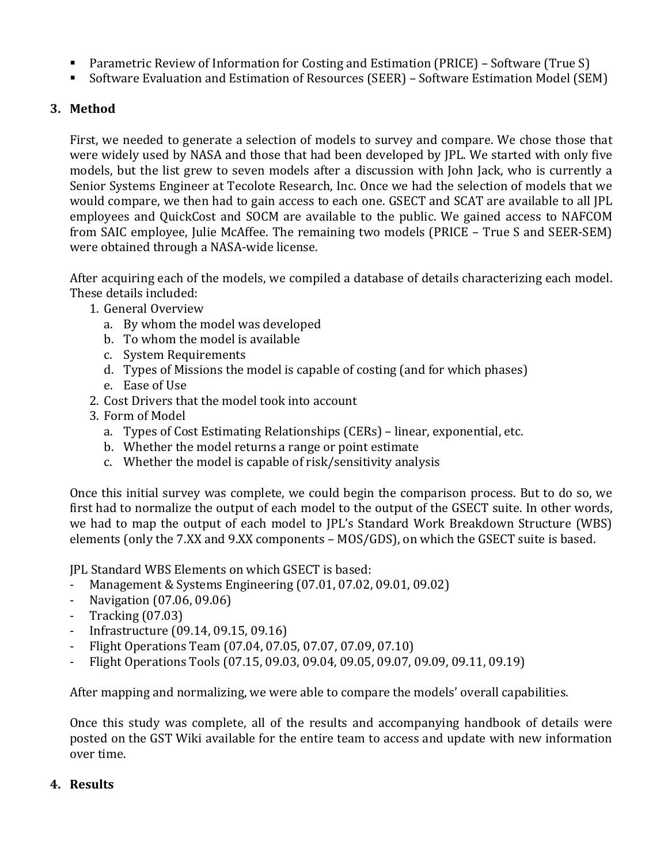- **Parametric Review of Information for Costing and Estimation (PRICE)** Software (True S)
- Software Evaluation and Estimation of Resources (SEER) Software Estimation Model (SEM)

### **3. Method**

First, we needed to generate a selection of models to survey and compare. We chose those that were widely used by NASA and those that had been developed by JPL. We started with only five models, but the list grew to seven models after a discussion with John Jack, who is currently a Senior Systems Engineer at Tecolote Research, Inc. Once we had the selection of models that we would compare, we then had to gain access to each one. GSECT and SCAT are available to all JPL employees and QuickCost and SOCM are available to the public. We gained access to NAFCOM from SAIC employee, Julie McAffee. The remaining two models (PRICE – True S and SEER-SEM) were obtained through a NASA-wide license.

After acquiring each of the models, we compiled a database of details characterizing each model. These details included:

- 1. General Overview
	- a. By whom the model was developed
	- b. To whom the model is available
	- c. System Requirements
	- d. Types of Missions the model is capable of costing (and for which phases)
	- e. Ease of Use
- 2. Cost Drivers that the model took into account
- 3. Form of Model
	- a. Types of Cost Estimating Relationships (CERs) linear, exponential, etc.
	- b. Whether the model returns a range or point estimate
	- c. Whether the model is capable of risk/sensitivity analysis

Once this initial survey was complete, we could begin the comparison process. But to do so, we first had to normalize the output of each model to the output of the GSECT suite. In other words, we had to map the output of each model to JPL's Standard Work Breakdown Structure (WBS) elements (only the 7.XX and 9.XX components - MOS/GDS), on which the GSECT suite is based.

IPL Standard WBS Elements on which GSECT is based:

- Management & Systems Engineering  $(07.01, 07.02, 09.01, 09.02)$
- Navigation (07.06, 09.06)
- Tracking  $(07.03)$
- Infrastructure (09.14, 09.15, 09.16)
- Flight Operations Team (07.04, 07.05, 07.07, 07.09, 07.10)
- Flight Operations Tools  $(07.15, 09.03, 09.04, 09.05, 09.07, 09.09, 09.11, 09.19)$

After mapping and normalizing, we were able to compare the models' overall capabilities.

Once this study was complete, all of the results and accompanying handbook of details were posted on the GST Wiki available for the entire team to access and update with new information over time.

### **4. Results**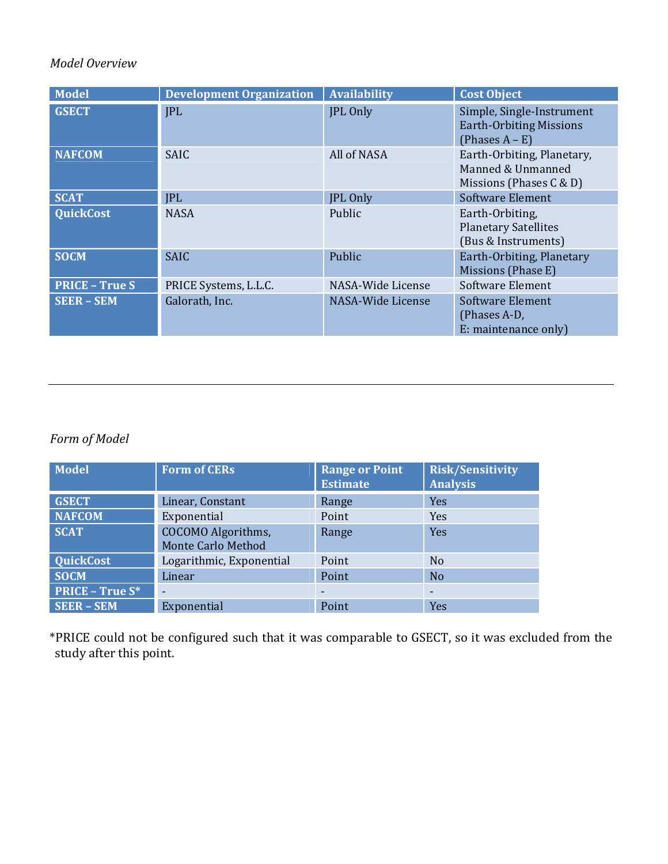# *Model Overview*

| <b>Model</b>          | <b>Development Organization</b> | <b>Availability</b> | <b>Cost Object</b>                                                               |
|-----------------------|---------------------------------|---------------------|----------------------------------------------------------------------------------|
| <b>GSECT</b>          | <b>JPL</b>                      | JPL Only            | Simple, Single-Instrument<br><b>Earth-Orbiting Missions</b><br>(Phases $A - E$ ) |
| <b>NAFCOM</b>         | <b>SAIC</b>                     | All of NASA         | Earth-Orbiting, Planetary,<br>Manned & Unmanned<br>Missions (Phases $C & D$ )    |
| <b>SCAT</b>           | <b>JPL</b>                      | JPL Only            | <b>Software Element</b>                                                          |
| <b>QuickCost</b>      | <b>NASA</b>                     | Public              | Earth-Orbiting,<br><b>Planetary Satellites</b><br>(Bus & Instruments)            |
| <b>SOCM</b>           | <b>SAIC</b>                     | Public              | Earth-Orbiting, Planetary<br>Missions (Phase E)                                  |
| <b>PRICE - True S</b> | PRICE Systems, L.L.C.           | NASA-Wide License   | Software Element                                                                 |
| <b>SEER - SEM</b>     | Galorath, Inc.                  | NASA-Wide License   | Software Element<br>(Phases A-D,<br>E: maintenance only)                         |

# *Form of Model*

| <b>Model</b>           | <b>Form of CERs</b>       | <b>Range or Point</b><br><b>Estimate</b> | <b>Risk/Sensitivity</b><br><b>Analysis</b> |
|------------------------|---------------------------|------------------------------------------|--------------------------------------------|
| <b>GSECT</b>           | Linear, Constant          | Range                                    | Yes                                        |
| <b>NAFCOM</b>          | Exponential               |                                          | Yes                                        |
| <b>SCAT</b>            | COCOMO Algorithms,        | Range                                    | Yes                                        |
|                        | <b>Monte Carlo Method</b> |                                          |                                            |
| <b>QuickCost</b>       | Logarithmic, Exponential  | Point                                    | N <sub>0</sub>                             |
| <b>SOCM</b>            | Linear                    | Point                                    | <b>No</b>                                  |
| <b>PRICE - True S*</b> | -                         | $\overline{\phantom{0}}$                 |                                            |
| <b>SEER - SEM</b>      | Exponential               | Point                                    | Yes                                        |

\*PRICE could not be configured such that it was comparable to GSECT, so it was excluded from the study after this point.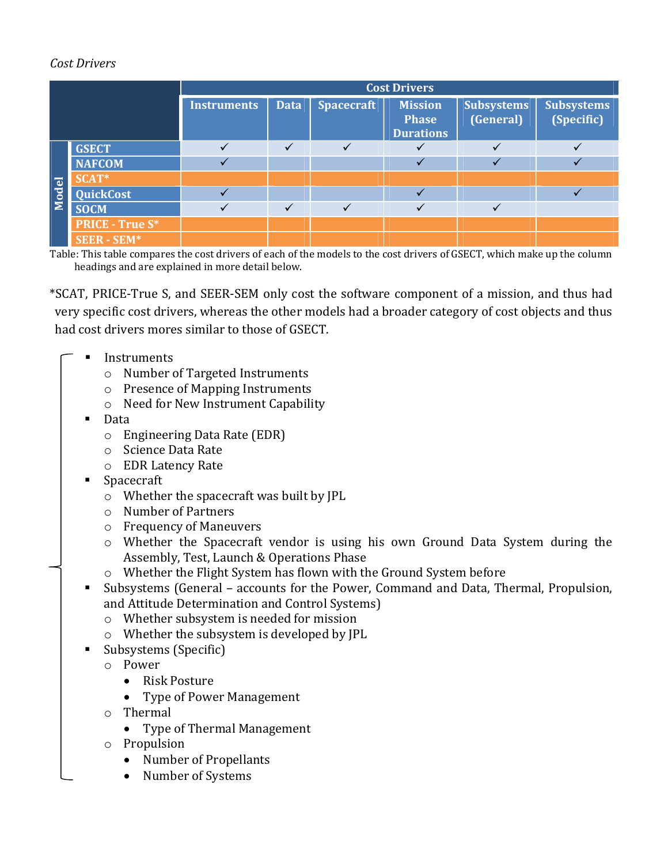# *Cost Drivers*

|       |                        | <b>Cost Drivers</b> |              |                   |                                                    |                                |                                 |
|-------|------------------------|---------------------|--------------|-------------------|----------------------------------------------------|--------------------------------|---------------------------------|
|       |                        | <b>Instruments</b>  | <b>Data</b>  | <b>Spacecraft</b> | <b>Mission</b><br><b>Phase</b><br><b>Durations</b> | <b>Subsystems</b><br>(General) | <b>Subsystems</b><br>(Specific) |
| Model | <b>GSECT</b>           | $\checkmark$        | $\checkmark$ |                   |                                                    | $\overline{\mathcal{L}}$       |                                 |
|       | <b>NAFCOM</b>          |                     |              |                   |                                                    |                                |                                 |
|       | SCAT*                  |                     |              |                   |                                                    |                                |                                 |
|       | <b>QuickCost</b>       |                     |              |                   |                                                    |                                |                                 |
|       | <b>SOCM</b>            |                     | $\checkmark$ |                   |                                                    |                                |                                 |
|       | <b>PRICE - True S*</b> |                     |              |                   |                                                    |                                |                                 |
|       | <b>SEER - SEM*</b>     |                     |              |                   |                                                    |                                |                                 |

Table: This table compares the cost drivers of each of the models to the cost drivers of GSECT, which make up the column headings and are explained in more detail below.

\*SCAT, PRICE-True S, and SEER-SEM only cost the software component of a mission, and thus had very specific cost drivers, whereas the other models had a broader category of cost objects and thus had cost drivers mores similar to those of GSECT.

- Instruments
	- o Number of Targeted Instruments
	- $\circ$  Presence of Mapping Instruments
	- $\circ$  Need for New Instrument Capability
	- **Data** 
		- $\circ$  Engineering Data Rate (EDR)
		- o Science Data Rate
		- o EDR Latency Rate
	- Spacecraft
		- $\circ$  Whether the spacecraft was built by JPL
		- o Number of Partners
		- o Frequency of Maneuvers
		- o Whether the Spacecraft vendor is using his own Ground Data System during the Assembly, Test, Launch & Operations Phase
		- $\circ$  Whether the Flight System has flown with the Ground System before
	- Subsystems (General accounts for the Power, Command and Data, Thermal, Propulsion, and Attitude Determination and Control Systems)
		- $\circ$  Whether subsystem is needed for mission
		- $\circ$  Whether the subsystem is developed by JPL
	- $\blacksquare$  Subsystems (Specific)
		- o Power
			- Risk Posture
			- Type of Power Management
		- o Thermal
			- Type of Thermal Management
		- o Propulsion
			- Number of Propellants
			- Number of Systems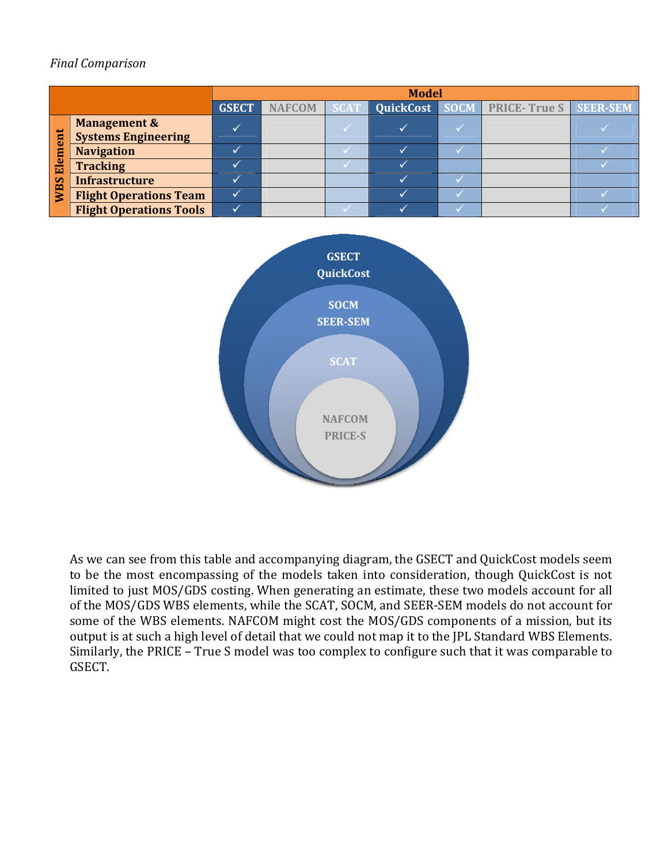# *Final Comparison*

|                             |                                                       | <b>Model</b> |               |             |  |  |                                             |  |
|-----------------------------|-------------------------------------------------------|--------------|---------------|-------------|--|--|---------------------------------------------|--|
|                             |                                                       | <b>GSECT</b> | <b>NAFCOM</b> | <b>SCAT</b> |  |  | QuickCost   SOCM   PRICE- True S   SEER-SEM |  |
| ent<br>Ē<br>굽<br><b>NBS</b> | <b>Management &amp;</b><br><b>Systems Engineering</b> |              |               |             |  |  |                                             |  |
|                             | <b>Navigation</b>                                     |              |               |             |  |  |                                             |  |
|                             | <b>Tracking</b>                                       |              |               |             |  |  |                                             |  |
|                             | <b>Infrastructure</b>                                 |              |               |             |  |  |                                             |  |
|                             | <b>Flight Operations Team</b>                         |              |               |             |  |  |                                             |  |
|                             | <b>Flight Operations Tools</b>                        |              |               |             |  |  |                                             |  |



As we can see from this table and accompanying diagram, the GSECT and QuickCost models seem to be the most encompassing of the models taken into consideration, though QuickCost is not limited to just MOS/GDS costing. When generating an estimate, these two models account for all of the MOS/GDS WBS elements, while the SCAT, SOCM, and SEER-SEM models do not account for some of the WBS elements. NAFCOM might cost the MOS/GDS components of a mission, but its output is at such a high level of detail that we could not map it to the JPL Standard WBS Elements. Similarly, the PRICE - True S model was too complex to configure such that it was comparable to GSECT.